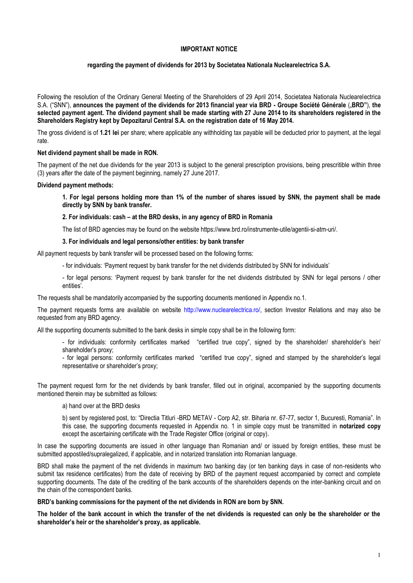# **IMPORTANT NOTICE**

# **regarding the payment of dividends for 2013 by Societatea Nationala Nuclearelectrica S.A.**

Following the resolution of the Ordinary General Meeting of the Shareholders of 29 April 2014, Societatea Nationala Nuclearelectrica S.A. ("SNN"), **announces the payment of the dividends for 2013 financial year via BRD - Groupe Société Générale** ("**BRD"**), **the selected payment agent. The dividend payment shall be made starting with 27 June 2014 to its shareholders registered in the Shareholders Registry kept by Depozitarul Central S.A. on the registration date of 16 May 2014.**

The gross dividend is of **1.21 lei** per share; where applicable any withholding tax payable will be deducted prior to payment, at the legal rate.

## **Net dividend payment shall be made in RON.**

The payment of the net due dividends for the year 2013 is subject to the general prescription provisions, being prescritible within three (3) years after the date of the payment beginning, namely 27 June 2017.

## **Dividend payment methods:**

**1. For legal persons holding more than 1% of the number of shares issued by SNN, the payment shall be made directly by SNN by bank transfer.**

**2. For individuals: cash – at the BRD desks, in any agency of BRD in Romania**

The list of BRD agencies may be found on the website https://www.brd.ro/instrumente-utile/agentii-si-atm-uri/.

# **3. For individuals and legal persons/other entities: by bank transfer**

All payment requests by bank transfer will be processed based on the following forms:

- for individuals: 'Payment request by bank transfer for the net dividends distributed by SNN for individuals'

- for legal persons: 'Payment request by bank transfer for the net dividends distributed by SNN for legal persons / other entities'.

The requests shall be mandatorily accompanied by the supporting documents mentioned in Appendix no.1.

The payment requests forms are available on website http://www.nuclearelectrica.ro/, section Investor Relations and may also be requested from any BRD agency.

All the supporting documents submitted to the bank desks in simple copy shall be in the following form:

- for individuals: conformity certificates marked "certified true copy", signed by the shareholder/ shareholder's heir/ shareholder's proxy;

- for legal persons: conformity certificates marked "certified true copy", signed and stamped by the shareholder's legal representative or shareholder's proxy;

The payment request form for the net dividends by bank transfer, filled out in original, accompanied by the supporting documents mentioned therein may be submitted as follows:

## a) hand over at the BRD desks

b) sent by registered post, to: "Directia Titluri -BRD METAV - Corp A2, str. Biharia nr. 67-77, sector 1, Bucuresti, Romania". In this case, the supporting documents requested in Appendix no. 1 in simple copy must be transmitted in **notarized copy**  except the ascertaining certificate with the Trade Register Office (original or copy).

In case the supporting documents are issued in other language than Romanian and/ or issued by foreign entities, these must be submitted appostiled/supralegalized, if applicable, and in notarized translation into Romanian language.

BRD shall make the payment of the net dividends in maximum two banking day (or ten banking days in case of non-residents who submit tax residence certificates) from the date of receiving by BRD of the payment request accompanied by correct and complete supporting documents. The date of the crediting of the bank accounts of the shareholders depends on the inter-banking circuit and on the chain of the correspondent banks.

**BRD's banking commissions for the payment of the net dividends in RON are born by SNN.**

**The holder of the bank account in which the transfer of the net dividends is requested can only be the shareholder or the shareholder's heir or the shareholder's proxy, as applicable.**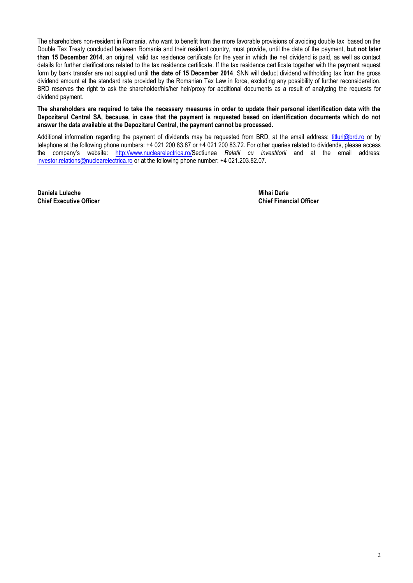The shareholders non-resident in Romania, who want to benefit from the more favorable provisions of avoiding double tax based on the Double Tax Treaty concluded between Romania and their resident country, must provide, until the date of the payment, **but not later than 15 December 2014**, an original, valid tax residence certificate for the year in which the net dividend is paid, as well as contact details for further clarifications related to the tax residence certificate. If the tax residence certificate together with the payment request form by bank transfer are not supplied until **the date of 15 December 2014**, SNN will deduct dividend withholding tax from the gross dividend amount at the standard rate provided by the Romanian Tax Law in force, excluding any possibility of further reconsideration. BRD reserves the right to ask the shareholder/his/her heir/proxy for additional documents as a result of analyzing the requests for dividend payment.

**The shareholders are required to take the necessary measures in order to update their personal identification data with the Depozitarul Central SA, because, in case that the payment is requested based on identification documents which do not answer the data available at the Depozitarul Central, the payment cannot be processed.**

Additional information regarding the payment of dividends may be requested from BRD, at the email address: [titluri@brd.ro](mailto:titluri@brd.ro) or by telephone at the following phone numbers: +4 021 200 83.87 or +4 021 200 83.72. For other queries related to dividends, please access the company's website: [http://www.nuclearelectrica.ro/S](http://www.nuclearelectrica.ro/)ectiunea *Relatii cu investitorii* and at the email address: [investor.relations@nuclearelectrica.ro](mailto:investor.relations@nuclearelectrica.ro) or at the following phone number: +4 021.203.82.07.

**Daniela Lulache Mihai Darie Chief Executive Officer Chief Financial Officer**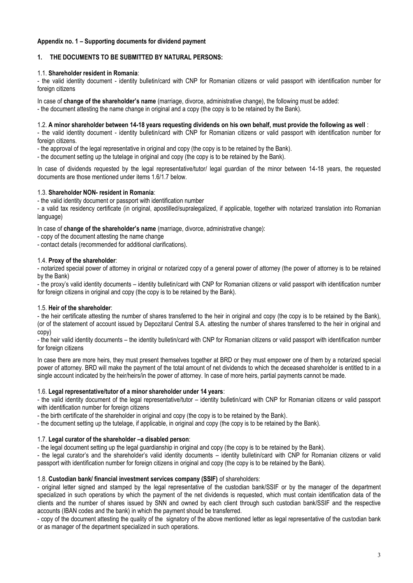# **Appendix no. 1 – Supporting documents for dividend payment**

# **1. THE DOCUMENTS TO BE SUBMITTED BY NATURAL PERSONS:**

## 1.1. **Shareholder resident in Romania**:

- the valid identity document - identity bulletin/card with CNP for Romanian citizens or valid passport with identification number for foreign citizens

In case of **change of the shareholder's name** (marriage, divorce, administrative change), the following must be added:

- the document attesting the name change in original and a copy (the copy is to be retained by the Bank).

# 1.2. **A minor shareholder between 14-18 years requesting dividends on his own behalf, must provide the following as well** :

- the valid identity document - identity bulletin/card with CNP for Romanian citizens or valid passport with identification number for foreign citizens.

- the approval of the legal representative in original and copy (the copy is to be retained by the Bank).

- the document setting up the tutelage in original and copy (the copy is to be retained by the Bank).

In case of dividends requested by the legal representative/tutor/ legal guardian of the minor between 14-18 years, the requested documents are those mentioned under items 1.6/1.7 below.

## 1.3. **Shareholder NON- resident in Romania**:

- the valid identity document or passport with identification number

- a valid tax residency certificate (in original, apostilled/supralegalized, if applicable, together with notarized translation into Romanian language)

In case of **change of the shareholder's name** (marriage, divorce, administrative change):

- copy of the document attesting the name change

- contact details (recommended for additional clarifications).

## 1.4. **Proxy of the shareholder**:

- notarized special power of attorney in original or notarized copy of a general power of attorney (the power of attorney is to be retained by the Bank)

- the proxy's valid identity documents – identity bulletin/card with CNP for Romanian citizens or valid passport with identification number for foreign citizens in original and copy (the copy is to be retained by the Bank).

## 1.5. **Heir of the shareholder**:

- the heir certificate attesting the number of shares transferred to the heir in original and copy (the copy is to be retained by the Bank), (or of the statement of account issued by Depozitarul Central S.A. attesting the number of shares transferred to the heir in original and copy)

- the heir valid identity documents – the identity bulletin/card with CNP for Romanian citizens or valid passport with identification number for foreign citizens

In case there are more heirs, they must present themselves together at BRD or they must empower one of them by a notarized special power of attorney. BRD will make the payment of the total amount of net dividends to which the deceased shareholder is entitled to in a single account indicated by the heir/heirs/in the power of attorney. In case of more heirs, partial payments cannot be made.

## 1.6. **Legal representative/tutor of a minor shareholder under 14 years**:

- the valid identity document of the legal representative/tutor – identity bulletin/card with CNP for Romanian citizens or valid passport with identification number for foreign citizens

- the birth certificate of the shareholder in original and copy (the copy is to be retained by the Bank).

- the document setting up the tutelage, if applicable, in original and copy (the copy is to be retained by the Bank).

## 1.7. **Legal curator of the shareholder –a disabled person**:

- the legal document setting up the legal guardianship in original and copy (the copy is to be retained by the Bank).

- the legal curator's and the shareholder's valid identity documents – identity bulletin/card with CNP for Romanian citizens or valid passport with identification number for foreign citizens in original and copy (the copy is to be retained by the Bank).

## 1.8. **Custodian bank/ financial investment services company (SSIF)** of shareholders:

- original letter signed and stamped by the legal representative of the custodian bank/SSIF or by the manager of the department specialized in such operations by which the payment of the net dividends is requested, which must contain identification data of the clients and the number of shares issued by SNN and owned by each client through such custodian bank/SSIF and the respective accounts (IBAN codes and the bank) in which the payment should be transferred.

- copy of the document attesting the quality of the signatory of the above mentioned letter as legal representative of the custodian bank or as manager of the department specialized in such operations.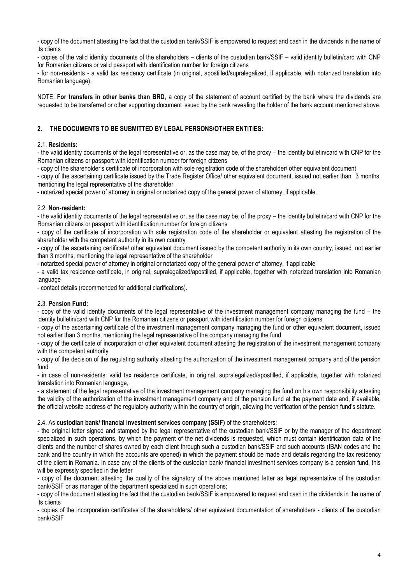- copy of the document attesting the fact that the custodian bank/SSIF is empowered to request and cash in the dividends in the name of its clients

- copies of the valid identity documents of the shareholders – clients of the custodian bank/SSIF – valid identity bulletin/card with CNP for Romanian citizens or valid passport with identification number for foreign citizens

- for non-residents - a valid tax residency certificate (in original, apostilled/supralegalized, if applicable, with notarized translation into Romanian language).

NOTE: **For transfers in other banks than BRD**, a copy of the statement of account certified by the bank where the dividends are requested to be transferred or other supporting document issued by the bank revealing the holder of the bank account mentioned above.

# **2. THE DOCUMENTS TO BE SUBMITTED BY LEGAL PERSONS/OTHER ENTITIES:**

# 2.1. **Residents:**

- the valid identity documents of the legal representative or, as the case may be, of the proxy – the identity bulletin/card with CNP for the Romanian citizens or passport with identification number for foreign citizens

- copy of the shareholder's certificate of incorporation with sole registration code of the shareholder/ other equivalent document

- copy of the ascertaining certificate issued by the Trade Register Office/ other equivalent document, issued not earlier than 3 months, mentioning the legal representative of the shareholder

- notarized special power of attorney in original or notarized copy of the general power of attorney, if applicable.

# 2.2. **Non-resident:**

- the valid identity documents of the legal representative or, as the case may be, of the proxy – the identity bulletin/card with CNP for the Romanian citizens or passport with identification number for foreign citizens

- copy of the certificate of incorporation with sole registration code of the shareholder or equivalent attesting the registration of the shareholder with the competent authority in its own country

- copy of the ascertaining certificate/ other equivalent document issued by the competent authority in its own country, issued not earlier than 3 months, mentioning the legal representative of the shareholder

- notarized special power of attorney in original or notarized copy of the general power of attorney, if applicable

- a valid tax residence certificate, in original, supralegalized/apostilled, if applicable, together with notarized translation into Romanian language

- contact details (recommended for additional clarifications).

# 2.3. **Pension Fund:**

- copy of the valid identity documents of the legal representative of the investment management company managing the fund – the identity bulletin/card with CNP for the Romanian citizens or passport with identification number for foreign citizens

- copy of the ascertaining certificate of the investment management company managing the fund or other equivalent document, issued not earlier than 3 months, mentioning the legal representative of the company managing the fund

- copy of the certificate of incorporation or other equivalent document attesting the registration of the investment management company with the competent authority

- copy of the decision of the regulating authority attesting the authorization of the investment management company and of the pension fund

- in case of non-residents: valid tax residence certificate, in original, supralegalized/apostilled, if applicable, together with notarized translation into Romanian language,

- a statement of the legal representative of the investment management company managing the fund on his own responsibility attesting the validity of the authorization of the investment management company and of the pension fund at the payment date and, if available, the official website address of the regulatory authority within the country of origin, allowing the verification of the pension fund's statute.

## 2.4. As **custodian bank/ financial investment services company (SSIF)** of the shareholders:

- the original letter signed and stamped by the legal representative of the custodian bank/SSIF or by the manager of the department specialized in such operations, by which the payment of the net dividends is requested, which must contain identification data of the clients and the number of shares owned by each client through such a custodian bank/SSIF and such accounts (IBAN codes and the bank and the country in which the accounts are opened) in which the payment should be made and details regarding the tax residency of the client in Romania. In case any of the clients of the custodian bank/ financial investment services company is a pension fund, this will be expressly specified in the letter

- copy of the document attesting the quality of the signatory of the above mentioned letter as legal representative of the custodian bank/SSIF or as manager of the department specialized in such operations;

- copy of the document attesting the fact that the custodian bank/SSIF is empowered to request and cash in the dividends in the name of its clients

- copies of the incorporation certificates of the shareholders/ other equivalent documentation of shareholders - clients of the custodian bank/SSIF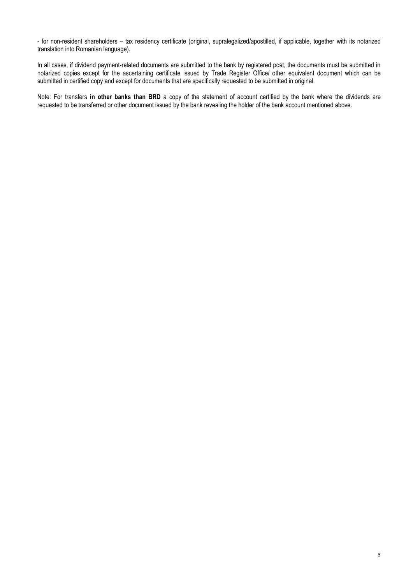- for non-resident shareholders – tax residency certificate (original, supralegalized/apostilled, if applicable, together with its notarized translation into Romanian language).

In all cases, if dividend payment-related documents are submitted to the bank by registered post, the documents must be submitted in notarized copies except for the ascertaining certificate issued by Trade Register Office/ other equivalent document which can be submitted in certified copy and except for documents that are specifically requested to be submitted in original.

Note: For transfers **in other banks than BRD** a copy of the statement of account certified by the bank where the dividends are requested to be transferred or other document issued by the bank revealing the holder of the bank account mentioned above.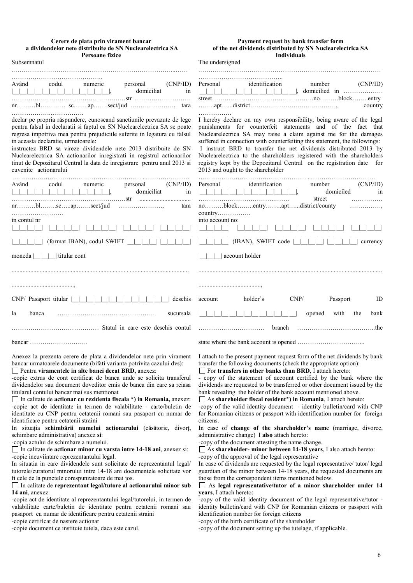#### **Cerere de plata prin virament bancar a dividendelor nete distribuite de SN Nuclearelectrica SA Persoane fizice**

### **Payment request by bank transfer form of the net dividends distributed by SN Nuclearelectrica SA Individuals**

| T et soane lizice<br>Subsemnatul                                                                                                                                                                                                                                                                                                                                                                                                                                                                                         | <b>INQUVIQUAIS</b><br>The undersigned                                                                                                                                                                                                                                                                                                                                                                                                                                                                                                                |
|--------------------------------------------------------------------------------------------------------------------------------------------------------------------------------------------------------------------------------------------------------------------------------------------------------------------------------------------------------------------------------------------------------------------------------------------------------------------------------------------------------------------------|------------------------------------------------------------------------------------------------------------------------------------------------------------------------------------------------------------------------------------------------------------------------------------------------------------------------------------------------------------------------------------------------------------------------------------------------------------------------------------------------------------------------------------------------------|
| Având<br>codul<br>personal<br>(CNP/ID)<br>numeric<br>domiciliat<br>$\begin{array}{c c c c c c} \hline \quad \quad & \quad \quad & \quad \quad & \quad \quad \\ \hline \end{array}$<br>in                                                                                                                                                                                                                                                                                                                                 | Personal<br>identification<br>number<br>(CNP/ID)<br>$\Box$<br>country                                                                                                                                                                                                                                                                                                                                                                                                                                                                                |
| declar pe propria răspundere, cunoscand sanctiunile prevazute de lege<br>pentru falsul in declaratii si faptul ca SN Nuclearelectrica SA se poate<br>regresa impotriva mea pentru prejudiciile suferite in legatura cu falsul<br>in aceasta declaratie, urmatoarele:<br>instructez BRD sa vireze dividendele nete 2013 distribuite de SN<br>Nuclearelectrica SA actionarilor inregistrati in registrul actionarilor<br>tinut de Depozitarul Central la data de inregistrare pentru anul 2013 si<br>cuvenite actionarului | .<br>I hereby declare on my own responsibility, being aware of the legal<br>punishments for counterfeit statements and of the fact that<br>Nuclearelectrica SA may raise a claim against me for the damages<br>suffered in connection with counterfeiting this statement, the followings:<br>I instruct BRD to transfer the net dividends distributed 2013 by<br>Nuclearelectrica to the shareholders registered with the shareholders<br>registry kept by the Depozitarul Central on the registration date for<br>2013 and ought to the shareholder |
| Având<br>codul<br>personal<br>(CNP/ID)<br>numeric<br>$-1$ 1 1 1<br>domiciliat<br>in<br>tara<br>în contul nr                                                                                                                                                                                                                                                                                                                                                                                                              | identification<br>Personal<br>number<br>(CNP/ID)<br>domiciled<br>in<br>street<br>.<br>noblockentryaptdistrict/county<br>.<br>into account no:                                                                                                                                                                                                                                                                                                                                                                                                        |
| (format IBAN), codul SWIFT  <br>moneda $\vert \vert \vert$   titular cont                                                                                                                                                                                                                                                                                                                                                                                                                                                | $(IBAN)$ , SWIFT code  <br>currency<br>account holder                                                                                                                                                                                                                                                                                                                                                                                                                                                                                                |
|                                                                                                                                                                                                                                                                                                                                                                                                                                                                                                                          |                                                                                                                                                                                                                                                                                                                                                                                                                                                                                                                                                      |
| CNP/ Pasaport titular    <br>deschis                                                                                                                                                                                                                                                                                                                                                                                                                                                                                     | holder's<br>CNP/<br>Passport<br>ID<br>account                                                                                                                                                                                                                                                                                                                                                                                                                                                                                                        |
| la<br>banca<br>sucursala                                                                                                                                                                                                                                                                                                                                                                                                                                                                                                 | opened<br>with<br>the<br>bank                                                                                                                                                                                                                                                                                                                                                                                                                                                                                                                        |
|                                                                                                                                                                                                                                                                                                                                                                                                                                                                                                                          | branch                                                                                                                                                                                                                                                                                                                                                                                                                                                                                                                                               |
| bancar                                                                                                                                                                                                                                                                                                                                                                                                                                                                                                                   |                                                                                                                                                                                                                                                                                                                                                                                                                                                                                                                                                      |

Anexez la prezenta cerere de plata a dividendelor nete prin virament bancar urmatoarele documente (bifati varianta potrivita cazului dvs): Pentru **viramentele in alte banci decat BRD,** anexez:

-copie extras de cont certificat de banca unde se solicita transferul dividendelor sau document doveditor emis de banca din care sa reiasa titularul contului bancar mai sus mentionat

In calitate de **actionar cu rezidenta fiscala \*) in Romania,** anexez: -copie act de identitate in termen de valabilitate - carte/buletin de identitate cu CNP pentru cetatenii romani sau pasaport cu numar de identificare pentru cetatenii straini

In situaţia **schimbării numelui actionarului** (căsătorie, divorţ, schimbare administrativa) anexez **si**:

-copia actului de schimbare a numelui.

In calitate de **actionar minor cu varsta intre 14-18 ani**, anexez si: -copie incuviintare reprezentantului legal.

In situatia in care dividendele sunt solicitate de reprezentantul legal/ tutorele/curatorul minorului intre 14-18 ani documentele solicitate vor fi cele de la punctele corespunzatoare de mai jos.

In calitate de **reprezentant legal/tutore al actionarului minor sub 14 ani**, anexez:

-copie act de identitate al reprezentantului legal/tutorelui, in termen de valabilitate carte/buletin de identitate pentru cetatenii romani sau pasaport cu numar de identificare pentru cetatenii straini -copie certificat de nastere actionar

-copie document ce instituie tutela, daca este cazul.

I attach to the present payment request form of the net dividends by bank transfer the following documents (check the appropriate option):

For **transfers in other banks than BRD**, I attach hereto:

- copy of the statement of account certified by the bank where the dividends are requested to be transferred or other document issued by the bank revealing the holder of the bank account mentioned above.

As **shareholder fiscal resident\*) in Romania**, I attach hereto: -copy of the valid identity document - identity bulletin/card with CNP

for Romanian citizens or passport with identification number for foreign citizens.

In case of **change of the shareholder's name** (marriage, divorce, administrative change) I **also** attach hereto:

-copy of the document attesting the name change.

As **shareholder- minor between 14-18 years**, I also attach hereto: -copy of the approval of the legal representative

In case of dividends are requested by the legal representative/ tutor/ legal guardian of the minor between 14-18 years, the requested documents are those from the correspondent items mentioned below.

### As **legal representative/tutor of a minor shareholder under 14 years**, I attach hereto:

-copy of the valid identity document of the legal representative/tutor identity bulletin/card with CNP for Romanian citizens or passport with identification number for foreign citizens

-copy of the birth certificate of the shareholder

-copy of the document setting up the tutelage, if applicable.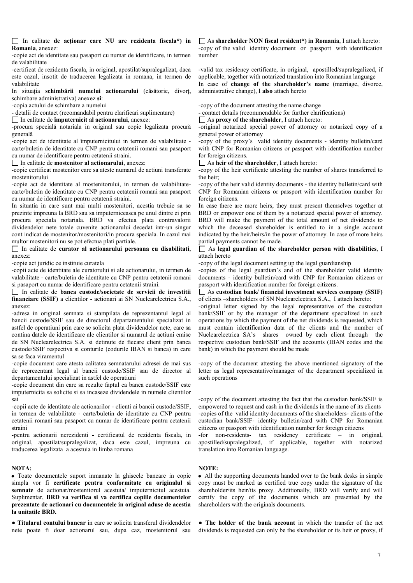In calitate **de acţionar care NU are rezidenta fiscala\*) in Romania**, anexez:

-copie act de identitate sau pasaport cu numar de identificare, in termen de valabilitate

-certificat de rezidenta fiscala, in original, apostilat/supralegalizat, daca este cazul, insotit de traducerea legalizata in romana, in termen de valabilitate

In situatia **schimbării numelui actionarului** (căsătorie, divort, schimbare administrativa) anexez **si**:

-copia actului de schimbare a numelui

- detalii de contact (recomandabil pentru clarificari suplimentare)

In calitate de **împuternicit al actionarului**, anexez:

-procura specială notariala in original sau copie legalizata procură generală

-copie act de identitate al împuternicitului in termen de valabilitate carte/buletin de identitate cu CNP pentru cetatenii romani sau pasaport cu numar de identificare pentru cetatenii straini.

In calitate de **mostenitor al actionarului**, anexez:

-copie certificat mostenitor care sa ateste numarul de actiuni transferate mostenitorului

-copie act de identitate al mostenitorului, in termen de valabilitatecarte/buletin de identitate cu CNP pentru cetatenii romani sau pasaport cu numar de identificare pentru cetatenii straini.

In situatia in care sunt mai multi mostenitori, acestia trebuie sa se prezinte impreuna la BRD sau sa imputerniceasca pe unul dintre ei prin procura speciala notariala. BRD va efectua plata contravalorii dividendelor nete totale cuvenite actionarului decedat intr-un singur cont indicat de mostenitor/mostenitori/in procura speciala. In cazul mai multor mostenitori nu se pot efectua plati partiale.

In calitate de **curator al actionarului persoana cu disabilitati**, anexez:

-copie act juridic ce instituie curatela

-copii acte de identitate ale curatorului si ale actionarului, in termen de valabilitate - carte/buletin de identitate cu CNP pentru cetatenii romani si pasaport cu numar de identificare pentru cetatenii straini.

In calitate de **banca custode/societate de servicii de investitii financiare (SSIF)** a clientilor - actionari ai SN Nuclearelectrica S.A., anexez:

-adresa in original semnata si stampilata de reprezentantul legal al bancii custode/SSIF sau de directorul departamentului specializat in astfel de operatiuni prin care se solicita plata dividendelor nete, care sa contina datele de identificare ale clientilor si numarul de actiuni emise de SN Nuclearelectrica S.A. si detinute de fiecare client prin banca custode/SSIF respectiva si conturile (codurile IBAN si banca) in care sa se faca viramentul

-copie document care atesta calitatea semnatarului adresei de mai sus de reprezentant legal al bancii custode/SSIF sau de director al departamentului specializat in astfel de operatiuni

-copie document din care sa rezulte faptul ca banca custode/SSIF este imputernicita sa solicite si sa incaseze dividendele in numele clientilor sai

-copii acte de identitate ale actionarilor - clienti ai bancii custode/SSIF, in termen de valabilitate - carte/buletin de identitate cu CNP pentru cetatenii romani sau pasaport cu numar de identificare pentru cetatenii straini

-pentru actionarii nerezidenti - certificatul de rezidenta fiscala, in original, apostilat/supralegalizat, daca este cazul, impreuna cu traducerea legalizata a acestuia in limba romana

## **NOTA:**

Toate documentele suport inmanate la ghiseele bancare in copie simpla vor fi **certificate** pentru conformitate cu originalul si **semnate** de actionar/mostenitorul acestuia/ imputernicitul acestuia. Suplimentar, **BRD va verifica si va certifica copiile documentelor prezentate de actionari cu documentele in original aduse de acestia la unitatile BRD.**

● **Titularul contului bancar** in care se solicita transferul dividendelor nete poate fi doar actionarul sau, dupa caz, mostenitorul sau As **shareholder NON fiscal resident\*) in Romania**, I attach hereto: -copy of the valid identity document or passport with identification number

-valid tax residency certificate, in original, apostilled/supralegalized, if applicable, together with notarized translation into Romanian language In case of **change of the shareholder's name** (marriage, divorce, administrative change), I **also** attach hereto

-copy of the document attesting the name change

- contact details (recommendable for further clarifications)

As **proxy of the shareholder**, I attach hereto:

-original notarized special power of attorney or notarized copy of a general power of attorney

-copy of the proxy's valid identity documents - identity bulletin/card with CNP for Romanian citizens or passport with identification number for foreign citizens.

As **heir of the shareholder**, I attach hereto:

-copy of the heir certificate attesting the number of shares transferred to the heir;

-copy of the heir valid identity documents - the identity bulletin/card with CNP for Romanian citizens or passport with identification number for foreign citizens.

In case there are more heirs, they must present themselves together at BRD or empower one of them by a notarized special power of attorney. BRD will make the payment of the total amount of net dividends to which the deceased shareholder is entitled to in a single account indicated by the heir/heirs/in the power of attorney. In case of more heirs partial payments cannot be made.

As **legal guardian of the shareholder person with disabilities**, I attach hereto

-copy of the legal document setting up the legal guardianship

-copies of the legal guardian's and of the shareholder valid identity documents - identity bulletin/card with CNP for Romanian citizens or passport with identification number for foreign citizens.

As **custodian bank/ financial investment services company (SSIF)** of clients –shareholders of SN Nuclearelectrica S.A., I attach hereto:

-original letter signed by the legal representative of the custodian bank/SSIF or by the manager of the department specialized in such operations by which the payment of the net dividends is requested, which must contain identification data of the clients and the number of Nuclearelectrica SA's shares owned by each client through the respective custodian bank/SSIF and the accounts (IBAN codes and the bank) in which the payment should be made

-copy of the document attesting the above mentioned signatory of the letter as legal representative/manager of the department specialized in such operations

-copy of the document attesting the fact that the custodian bank/SSIF is empowered to request and cash in the dividends in the name of its clients -copies of the valid identity documents of the shareholders- clients of the custodian bank/SSIF- identity bulletin/card with CNP for Romanian citizens or passport with identification number for foreign citizens

-for non-residents- tax residency certificate – in original, apostilled/supralegalized, if applicable, together with notarized translation into Romanian language.

## **NOTE:**

All the supporting documents handed over to the bank desks in simple copy must be marked as certified true copy under the signature of the shareholder/its heir/its proxy. Additionally, BRD will verify and will certify the copy of the documents which are presented by the shareholders with the originals documents.

● **The holder of the bank account** in which the transfer of the net dividends is requested can only be the shareholder or its heir or proxy, if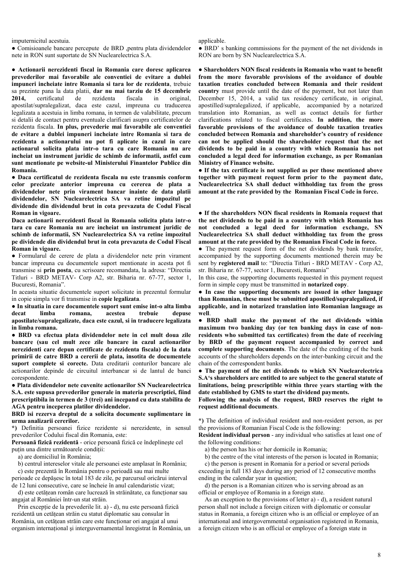imputernicitul acestuia.

● Comisioanele bancare percepute de BRD ,pentru plata dividendelor nete in RON sunt suportate de SN Nuclearelectrica S.A.

● **Actionarii nerezidenti fiscal in Romania care doresc aplicarea prevederilor mai favorabile ale conventiei de evitare a dublei impuneri incheiate intre Romania si tara lor de rezidenta**, trebuie sa prezinte pana la data platii, **dar nu mai tarziu de 15 decembrie 2014,** certificatul de rezidenta fiscala in original, apostilat/supralegalizat, daca este cazul, impreuna cu traducerea legalizata a acestuia in limba romana, in termen de valabilitate, precum si detalii de contact pentru eventuale clarificari asupra certificatelor de rezidenta fiscala. **In plus, prevederie mai favorabile ale conventiei de evitare a dublei impuneri incheiate intre Romania si tara de rezidenta a actionarului nu pot fi aplicate in cazul in care actionarul solicita plata intr-o tara cu care Romania nu are incheiat un instrument juridic de schimb de informatii, astfel cum sunt mentionate pe website-ul Ministerului Finantelor Publice din Romania.**

**● Daca certificatul de rezidenta fiscala nu este transmis conform celor precizate anterior impreuna cu cererea de plata a dividendelor nete prin virament bancar inainte de data platii dividendelor, SN Nuclearelectrica SA va retine impozitul pe dividende din dividendul brut in cota prevazuta de Codul Fiscal Roman in vigoare.**

**Daca actionarii nerezidenti fiscal in Romania solicita plata intr-o tara cu care Romania nu are incheiat un instrument juridic de schimb de informatii, SN Nuclearelectrica SA va retine impozitul pe dividende din dividendul brut in cota prevazuta de Codul Fiscal Roman in vigoare.**

**●** Formularul de cerere de plata a dividendelor nete prin virament bancar impreuna cu documentele suport mentionate in acesta pot fi transmise si **prin posta**, cu scrisoare recomandata, la adresa: "Directia Titluri - BRD METAV- Corp A2, str. Biharia nr. 67-77, sector 1, Bucuresti, Romania".

In aceasta situatie documentele suport solicitate in prezentul formular in copie simpla vor fi transmise in **copie legalizata**.

**● In situatia in care documentele suport sunt emise int-o alta limba decat limba romana, acestea trebuie depuse apostilate/supralegalizate, daca este cazul, si in traducere legalizata in limba romana.**

**● BRD va efectua plata dividendelor nete in cel mult doua zile bancare (sau cel mult zece zile bancare in cazul actionarilor nerezidenti care depun certificate de rezidenta fiscala) de la data primirii de catre BRD a cererii de plata, insotita de documentele suport complete si corecte.** Data creditarii conturilor bancare ale actionarilor depinde de circuitul interbancar si de lantul de banci corespondente.

**● Plata dividendelor nete cuvenite actionarilor SN Nuclearelectrica S.A. este supusa prevederilor generale in materia prescriptiei, fiind prescriptibila in termen de 3 (trei) ani incepand cu data stabilita de AGA pentru inceperea platilor dividendelor.**

### **BRD isi rezerva dreptul de a solicita documente suplimentare in urma analizarii cererilor.**

**\*)** Definitia persoanei fizice rezidente si nerezidente, in sensul prevederilor Codului fiscal din Romania, este:

**Persoană fizică rezidentă** - orice persoană fizică ce îndeplineşte cel putin una dintre următoarele conditii:

a) are domiciliul în România;

b) centrul intereselor vitale ale persoanei este amplasat în România;

 c) este prezentă în România pentru o perioadă sau mai multe perioade ce depăşesc în total 183 de zile, pe parcursul oricărui interval

de 12 luni consecutive, care se încheie în anul calendaristic vizat; d) este cetăţean român care lucrează în străinătate, ca funcţionar sau angajat al României într-un stat străin.

Prin excepție de la prevederile lit. a) - d), nu este persoană fizică rezidentă un cetăţean străin cu statut diplomatic sau consular în România, un cetătean străin care este functionar ori angajat al unui organism internaţional şi interguvernamental înregistrat în România, un applicable.

● BRD' s banking commissions for the payment of the net dividends in RON are born by SN Nuclearelectrica S.A.

● **Shareholders NON fiscal residents in Romania who want to benefit from the more favorable provisions of the avoidance of double taxation treaties concluded between Romania and their resident country** must provide until the date of the payment, but not later than December 15, 2014, a valid tax residency certificate, in original, apostilled/supralegalized, if applicable, accompanied by a notarized translation into Romanian, as well as contact details for further clarifications related to fiscal certificates. **In addition, the more favorable provisions of the avoidance of double taxation treaties concluded between Romania and shareholder's country of residence can not be applied should the shareholder request that the net dividends to be paid in a country with which Romania has not concluded a legal deed for information exchange, as per Romanian Ministry of Finance website.**

**● If the tax certificate is not supplied as per those mentioned above together with payment request form prior to the payment date, Nuclearelectrica SA shall deduct withholding tax from the gross amount at the rate provided by the Romanian Fiscal Code in force.** 

**● If the shareholders NON fiscal residents in Romania request that the net dividends to be paid in a country with which Romania has not concluded a legal deed for information exchange, SN Nuclearelectrica SA shall deduct withholding tax from the gross amount at the rate provided by the Romanian Fiscal Code in force.**

• The payment request form of the net dividends by bank transfer, accompanied by the supporting documents mentioned therein may be sent by **registered mail** to: "Directia Titluri - BRD METAV - Corp A2, str. Biharia nr. 67-77, sector 1, Bucuresti, Romania"

In this case, the supporting documents requested in this payment request form in simple copy must be transmitted in **notarized copy**.

● **In case the supporting documents are issued in other language than Romanian, these must be submitted apostilled/supralegalized, if applicable, and in notarized translation into Romanian language as well**.

● **BRD shall make the payment of the net dividends within maximum two banking day (or ten banking days in case of nonresidents who submitted tax certificates) from the date of receiving by BRD of the payment request accompanied by correct and complete supporting documents**. The date of the crediting of the bank accounts of the shareholders depends on the inter-banking circuit and the chain of the correspondent banks.

● **The payment of the net dividends to which SN Nuclearelectrica S.A's shareholders are entitled to are subject to the general statute of limitations, being prescriptible within three years starting with the date established by GMS to start the dividend payments.**

**Following the analysis of the request, BRD reserves the right to request additional documents**.

**\*)** The definition of individual resident and non-resident person, as per the provisions of Romanian Fiscal Code is the following:

**Resident individual person** - any individual who satisfies at least one of the following conditions:

a) the person has his or her domicile in Romania;

b) the centre of the vital interests of the person is located in Romania;

 c) the person is present in Romania for a period or several periods exceeding in full 183 days during any period of 12 consecutive months ending in the calendar year in question;

 d) the person is a Romanian citizen who is serving abroad as an official or employee of Romania in a foreign state.

 As an exception to the provisions of letter a) - d), a resident natural person shall not include a foreign citizen with diplomatic or consular status in Romania, a foreign citizen who is an official or employee of an international and intergovernmental organisation registered in Romania, a foreign citizen who is an official or employee of a foreign state in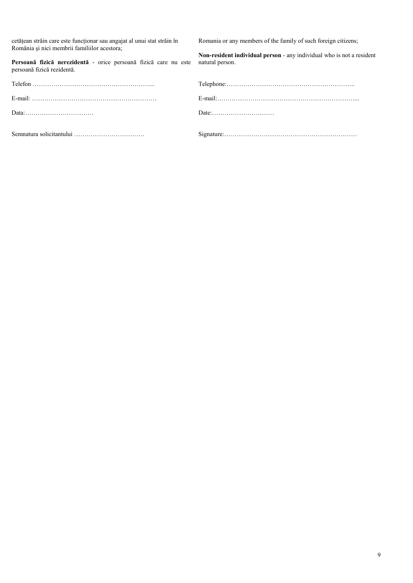cetăţean străin care este funcţionar sau angajat al unui stat străin în România şi nici membrii familiilor acestora;

**Persoană fizică nerezidentă** - orice persoană fizică care nu este persoană fizică rezidentă.

|                                                                 | $Telephone: \ldots \ldots \ldots \ldots \ldots \ldots$ |
|-----------------------------------------------------------------|--------------------------------------------------------|
|                                                                 | $E$ -mail:                                             |
| $Data: \ldots \ldots \ldots \ldots \ldots \ldots \ldots \ldots$ |                                                        |

Romania or any members of the family of such foreign citizens;

**Non-resident individual person** - any individual who is not a resident natural person.

| Telefon |  |
|---------|--|
|         |  |
| Data:   |  |
|         |  |

Semnatura solicitantului ……………………………. Signature:……………………………………………………….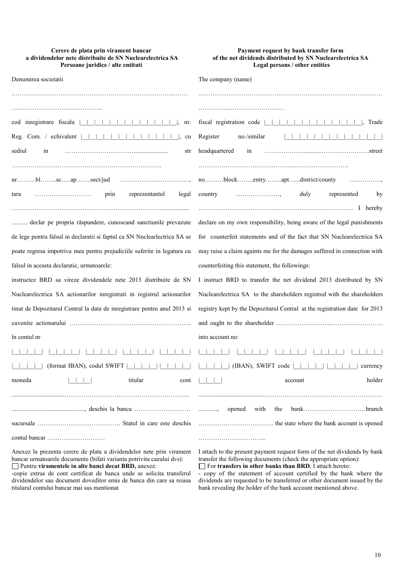| Cerere de plata prin virament bancar                      |
|-----------------------------------------------------------|
| a dividendelor nete distribuite de SN Nuclearelectrica SA |
| Persoane juridice / alte entitati                         |

| Payment request by bank transfer form                       |  |  |
|-------------------------------------------------------------|--|--|
| of the net dividends distributed by SN Nuclear electrica SA |  |  |
| Legal persons / other entities                              |  |  |

| Denumirea societatii                                                      | The company (name)                                                         |
|---------------------------------------------------------------------------|----------------------------------------------------------------------------|
|                                                                           |                                                                            |
|                                                                           |                                                                            |
| cod inregistrare fiscala  <br>nr.                                         | fiscal registration code  <br>Trade                                        |
| Reg. Com. / echivalent  <br>cu                                            | Register<br>no./similar                                                    |
| sediul<br>in<br>str                                                       | headquartered<br>1n                                                        |
| $nr$ blscapsect/jud                                                       | noblockentryaptdistrict/county                                             |
| reprezentantul<br>prin<br>legal<br>tara                                   | represented<br>country<br>duly<br>by                                       |
| declar pe propria răspundere, cunoscand sanctiunile prevazute             | declare on my own responsibility, being aware of the legal punishments     |
| de lege pentru falsul in declaratii si faptul ca SN Nuclearlectrica SA se | for counterfeit statements and of the fact that SN Nuclearelectrica SA     |
| poate regresa impotriva mea pentru prejudiciile suferite in legatura cu   | may raise a claim againts me for the damages suffered in connection with   |
| falsul in aceasta declaratie, urmatoarele:                                | counterfeiting this statement, the followings:                             |
| instructez BRD sa vireze dividendele nete 2013 distribuite de SN          | I instruct BRD to transfer the net dividend 2013 distributed by SN         |
| Nuclearelectrica SA actionarilor inregistrati in registrul actionarilor   | Nuclearelectrica SA to the shareholders registred with the shareholders    |
| tinut de Depozitarul Central la data de inregistrare pentru anul 2013 si  | registry kept by the Depozitarul Central at the registration date for 2013 |
|                                                                           |                                                                            |
| în contul nr                                                              | into account no:                                                           |
|                                                                           |                                                                            |
| (format IBAN), codul SWIFT                                                | (IBAN), SWIFT code<br>currency                                             |
| titular<br>moneda<br>cont                                                 | holder<br>account                                                          |
|                                                                           |                                                                            |
|                                                                           | opened<br>with<br>the<br>$bank$ branch                                     |
|                                                                           |                                                                            |
|                                                                           |                                                                            |

Anexez la prezenta cerere de plata a dividendelor nete prin virament bancar urmatoarele documente (bifati varianta potrivita cazului dvs): Pentru **viramentele in alte banci decat BRD,** anexez:

-copie extras de cont certificat de banca unde se solicita transferul dividendelor sau document doveditor emis de banca din care sa reiasa titularul contului bancar mai sus mentionat

I attach to the present payment request form of the net dividends by bank transfer the following documents (check the appropriate option): For **transfers in other banks than BRD**, I attach hereto:

- copy of the statement of account certified by the bank where the dividends are requested to be transferred or other document issued by the bank revealing the holder of the bank account mentioned above.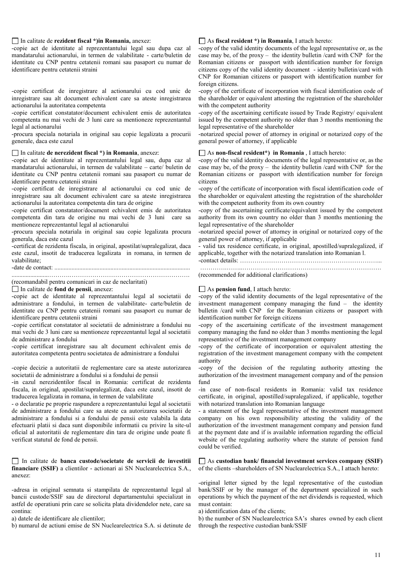## In calitate de **rezident fiscal \*)in Romania,** anexez:

-copie act de identitate al reprezentantului legal sau dupa caz al mandatarului actionarului, in termen de valabilitate - carte/buletin de identitate cu CNP pentru cetatenii romani sau pasaport cu numar de identificare pentru cetatenii straini

-copie certificat de inregistrare al actionarului cu cod unic de inregistrare sau alt document echivalent care sa ateste inregistrarea actionarului la autoritatea competenta

-copie certificat constatator/document echivalent emis de autoritatea competenta nu mai vechi de 3 luni care sa mentioneze reprezentantul legal al actionarului

-procura speciala notariala in original sau copie legalizata a procurii generale, daca este cazul

### In calitate **de nerezident fiscal \*) in Romania**, anexez:

-copie act de identitate al reprezentantului legal sau, dupa caz al mandatarului actionarului, in termen de valabilitate – carte/ buletin de identitate cu CNP pentru cetatenii romani sau pasaport cu numar de identificare pentru cetatenii straini

-copie certificat de inregistrare al actionarului cu cod unic de inregistrare sau alt document echivalent care sa ateste inregistrarea actionarului la autoritatea competenta din tara de origine

-copie certificat constatator/document echivalent emis de autoritatea competenta din tara de origine nu mai vechi de 3 luni care sa mentioneze reprezentantul legal al actionarului

-procura speciala notariala in original sau copie legalizata procura generala, daca este cazul

-certificat de rezidenta fiscala, in original, apostilat/supralegalizat, daca este cazul, insotit de traducerea legalizata in romana, in termen de valabilitate;

## -date de contact: .......................................................................................

........................……….…………………………………………………. (recomandabil pentru comunicari in caz de neclaritati)

In calitate de **fond de pensii**, anexez:

-copie act de identitate al reprezentantului legal al societatii de administrare a fondului, in termen de valabilitate- carte/buletin de identitate cu CNP pentru cetatenii romani sau pasaport cu numar de identificare pentru cetatenii straini

-copie certificat constatator al societatii de administrare a fondului nu mai vechi de 3 luni care sa mentioneze reprezentantul legal al societatii de administrare a fondului

-copie certificat inregistrare sau alt document echivalent emis de autoritatea competenta pentru societatea de administrare a fondului

-copie decizie a autoritatii de reglementare care sa ateste autorizarea societatii de administrare a fondului si a fondului de pensii

-in cazul nerezidentilor fiscal in Romania: certificat de rezidenta fiscala, in original, apostilat/supralegalizat, daca este cazul, insotit de traducerea legalizata in romana, in termen de valabilitate

- o declaratie pe proprie raspundere a reprezentantului legal al societatii de administrare a fondului care sa ateste ca autorizarea societatii de administrare a fondului si a fondului de pensii este valabila la data efectuarii platii si daca sunt disponibile informatii cu privire la site-ul oficial al autoritatii de reglementare din tara de origine unde poate fi verificat statutul de fond de pensii.

In calitate de **banca custode/societate de servicii de investitii financiare (SSIF)** a clientilor - actionari ai SN Nuclearelectrica S.A., anexez:

-adresa in original semnata si stampilata de reprezentantul legal al bancii custode/SSIF sau de directorul departamentului specializat in astfel de operatiuni prin care se solicita plata dividendelor nete, care sa contina:

a) datele de identificare ale clientilor;

b) numarul de actiuni emise de SN Nuclearelectrica S.A. si detinute de

### As **fiscal resident \*) in Romania**, I attach hereto:

-copy of the valid identity documents of the legal representative or, as the case may be, of the proxy – the identity bulletin /card with CNP for the Romanian citizens or passport with identification number for foreign citizens copy of the valid identity document - identity bulletin/card with CNP for Romanian citizens or passport with identification number for foreign citizens.

-copy of the certificate of incorporation with fiscal identification code of the shareholder or equivalent attesting the registration of the shareholder with the competent authority

-copy of the ascertaining certificate issued by Trade Registry/ equivalent issued by the competent authority no older than 3 months mentioning the legal representative of the shareholder

-notarized special power of attorney in original or notarized copy of the general power of attorney, if applicable

### As **non-fiscal resident\*) in Romania** , I attach hereto:

-copy of the valid identity documents of the legal representative or, as the case may be, of the proxy – the identity bulletin /card with CNP for the Romanian citizens or passport with identification number for foreign citizens

-copy of the certificate of incorporation with fiscal identification code of the shareholder or equivalent attesting the registration of the shareholder with the competent authority from its own country

-copy of the ascertaining certificate/equivalent issued by the competent authority from its own country no older than 3 months mentioning the legal representative of the shareholder

-notarized special power of attorney in original or notarized copy of the general power of attorney, if applicable

- valid tax residence certificate, in original, apostilled/supralegalized, if applicable, together with the notarized translation into Romanian l.

-contact details: …………………………………………………………...

………….……..………………………………………………………….

### (recommended for additional clarifications)

#### As **pension fund**, I attach hereto:

-copy of the valid identity documents of the legal representative of the investment management company managing the fund – the identity bulletin /card with CNP for the Romanian citizens or passport with identification number for foreign citizens

-copy of the ascertaining certificate of the investment management company managing the fund no older than 3 months mentioning the legal representative of the investment management company

-copy of the certificate of incorporation or equivalent attesting the registration of the investment management company with the competent authority

-copy of the decision of the regulating authority attesting the authorization of the investment management company and of the pension fund

-in case of non-fiscal residents in Romania: valid tax residence certificate, in original, apostilled/supralegalized, if applicable, together with notarized translation into Romanian language

- a statement of the legal representative of the investment management company on his own responsibility attesting the validity of the authorization of the investment management company and pension fund at the payment date and if is available information regarding the official website of the regulating authority where the statute of pension fund could be verified.

As **custodian bank/ financial investment services company (SSIF)** of the clients –shareholders of SN Nuclearelectrica S.A., I attach hereto:

-original letter signed by the legal representative of the custodian bank/SSIF or by the manager of the department specialized in such operations by which the payment of the net dividends is requested, which must contain:

a) identification data of the clients;

b) the number of SN Nuclearelectrica SA's shares owned by each client through the respective custodian bank/SSIF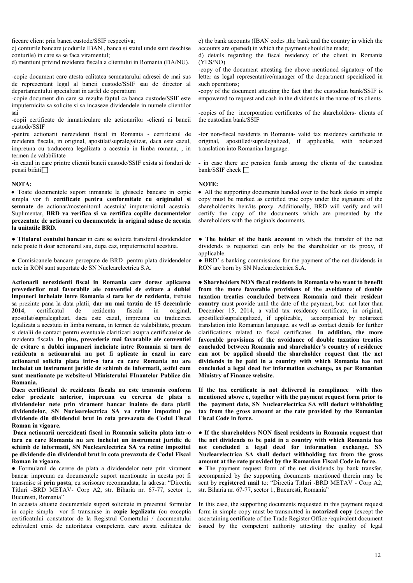fiecare client prin banca custode/SSIF respectiva;

c) conturile bancare (codurile IBAN , banca si statul unde sunt deschise conturile) in care sa se faca viramentul;

d) mentiuni privind rezidenta fiscala a clientului in Romania (DA/NU).

-copie document care atesta calitatea semnatarului adresei de mai sus de reprezentant legal al bancii custode/SSIF sau de director al departamentului specializat in astfel de operatiuni

-copie document din care sa rezulte faptul ca banca custode/SSIF este imputernicita sa solicite si sa incaseze dividendele in numele clientilor sai

-copii certificate de inmatriculare ale actionarilor -clienti ai bancii custode/SSIF

-pentru actionarii nerezidenti fiscal in Romania - certificatul de rezidenta fiscala, in original, apostilat/supralegalizat, daca este cazul, impreuna cu traducerea legalizata a acestuia in limba romana, , in termen de valabilitate

-in cazul in care printre clientii bancii custode/SSIF exista si fonduri de  $p$ ensii bifati $\Box$ 

### **NOTA:**

Toate documentele suport inmanate la ghiseele bancare in copie simpla vor fi **certificate** pentru conformitate cu originalul si **semnate** de actionar/mostenitorul acestuia/ imputernicitul acestuia. Suplimentar, **BRD va verifica si va certifica copiile documentelor prezentate de actionari cu documentele in original aduse de acestia la unitatile BRD.**

● **Titularul contului bancar** in care se solicita transferul dividendelor nete poate fi doar actionarul sau, dupa caz, imputernicitul acestuia.

● Comisioanele bancare percepute de BRD pentru plata dividendelor nete in RON sunt suportate de SN Nuclearelectrica S.A.

**Actionarii nerezidenti fiscal in Romania care doresc aplicarea prevederilor mai favorabile ale conventiei de evitare a dublei impuneri incheiate intre Romania si tara lor de rezidenta**, trebuie sa prezinte pana la data platii, **dar nu mai tarziu de 15 decembrie 2014**, certificatul de rezidenta fiscala in original, apostilat/supralegalizat, daca este cazul, impreuna cu traducerea legalizata a acestuia in limba romana, in termen de valabilitate, precum si detalii de contact pentru eventuale clarificari asupra certificatelor de rezidenta fiscala. **In plus, prevederie mai favorabile ale conventiei de evitare a dublei impuneri incheiate intre Romania si tara de rezidenta a actionarului nu pot fi aplicate in cazul in care actionarul solicita plata intr-o tara cu care Romania nu are incheiat un instrument juridic de schimb de informatii, astfel cum sunt mentionate pe website-ul Ministerului FInantelor Publice din Romania.**

**Daca certificatul de rezidenta fiscala nu este transmis conform celor precizate anterior, impreuna cu cererea de plata a dividendelor nete prin virament bancar inainte de data platii dividendelor, SN Nuclearelectrica SA va retine impozitul pe dividende din dividendul brut in cota prevazuta de Codul Fiscal Roman in vigoare.**

**Daca actionarii nerezidenti fiscal in Romania solicita plata intr-o tara cu care Romania nu are incheiat un instrument juridic de schimb de informatii, SN Nuclearelectrica SA va retine impozitul pe dividende din dividendul brut in cota prevazuta de Codul Fiscal Roman in vigoare.**

**●** Formularul de cerere de plata a dividendelor nete prin virament bancar impreuna cu documentele suport mentionate in acesta pot fi transmise si **prin posta**, cu scrisoare recomandata, la adresa: "Directia Titluri -BRD METAV- Corp A2, str. Biharia nr. 67-77, sector 1, Bucuresti, Romania"

In aceasta situatie documentele suport solicitate in prezentul formular in copie simpla vor fi transmise in **copie legalizata** (cu exceptia certificatului constatator de la Registrul Comertului / documentului echivalent emis de autoritatea competenta care atesta calitatea de

c) the bank accounts (IBAN codes ,the bank and the country in which the accounts are opened) in which the payment should be made;

d) details regarding the fiscal residency of the client in Romania (YES/NO).

-copy of the document attesting the above mentioned signatory of the letter as legal representative/manager of the department specialized in such operations;

-copy of the document attesting the fact that the custodian bank/SSIF is empowered to request and cash in the dividends in the name of its clients

-copies of the incorporation certificates of the shareholders- clients of the custodian bank/SSIF

-for non-fiscal residents in Romania- valid tax residency certificate in original, apostilled/supralegalized, if applicable, with notarized translation into Romanian language.

- in case there are pension funds among the clients of the custodian bank/SSIF check  $\Box$ 

## **NOTE:**

All the supporting documents handed over to the bank desks in simple copy must be marked as certified true copy under the signature of the shareholder/its heir/its proxy. Additionally, BRD will verify and will certify the copy of the documents which are presented by the shareholders with the originals documents.

● **The holder of the bank account** in which the transfer of the net dividends is requested can only be the shareholder or its proxy, if applicable.

● BRD' s banking commissions for the payment of the net dividends in RON are born by SN Nuclearelectrica S.A.

● **Shareholders NON fiscal residents in Romania who want to benefit from the more favorable provisions of the avoidance of double taxation treaties concluded between Romania and their resident country** must provide until the date of the payment, but not later than December 15, 2014, a valid tax residency certificate, in original, apostilled/supralegalized, if applicable, accompanied by notarized translation into Romanian language, as well as contact details for further clarifications related to fiscal certificates. **In addition, the more favorable provisions of the avoidance of double taxation treaties concluded between Romania and shareholder's country of residence can not be applied should the shareholder request that the net dividends to be paid in a country with which Romania has not concluded a legal deed for information exchange, as per Romanian Ministry of Finance website.**

**If the tax certificate is not delivered in compliance with thos mentioned above e, together with the payment request form prior to the payment date, SN Nuclearelectrica SA will deduct withholding tax from the gross amount at the rate provided by the Romanian Fiscal Code in force.**

**● If the shareholders NON fiscal residents in Romania request that the net dividends to be paid in a country with which Romania has not concluded a legal deed for information exchange, SN Nuclearelectrica SA shall deduct withholding tax from the gross amount at the rate provided by the Romanian Fiscal Code in force.**

• The payment request form of the net dividends by bank transfer, accompanied by the supporting documents mentioned therein may be sent by **registered mail** to: "Directia Titluri -BRD METAV - Corp A2, str. Biharia nr. 67-77, sector 1, Bucuresti, Romania"

In this case, the supporting documents requested in this payment request form in simple copy must be transmitted in **notarized copy** (except the ascertaining certificate of the Trade Register Office /equivalent document issued by the competent authority attesting the quality of legal